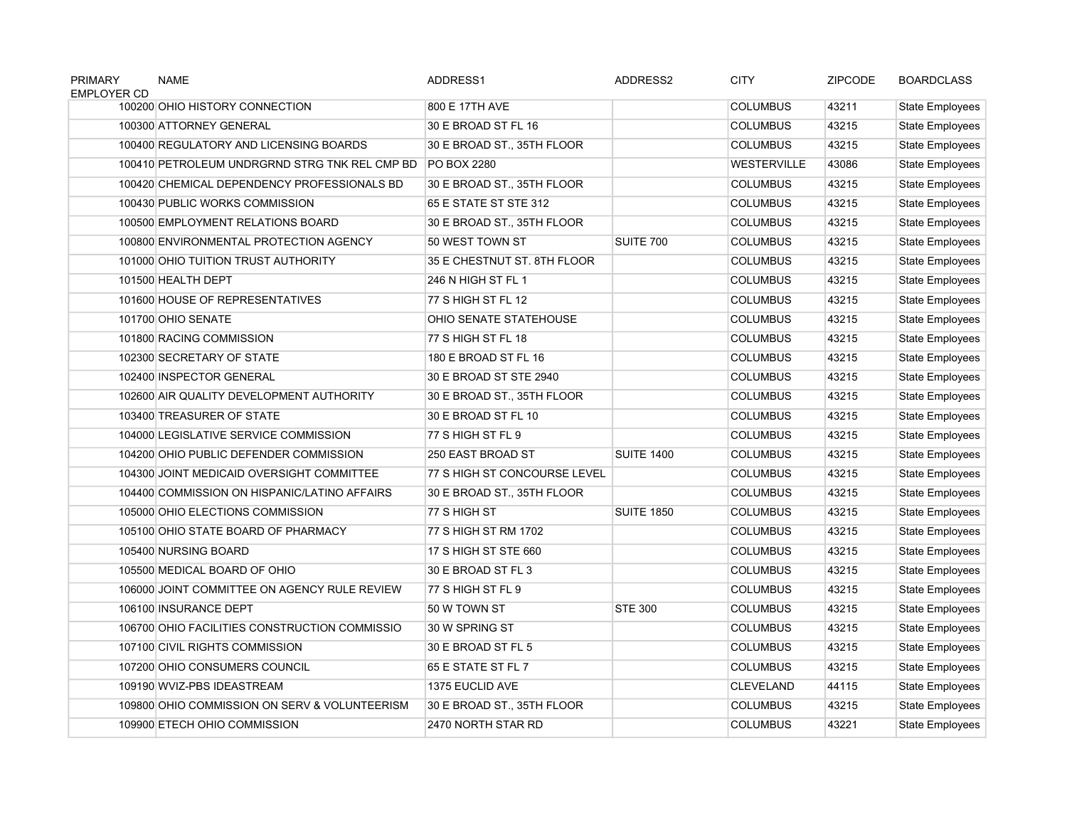| <b>PRIMARY</b><br><b>EMPLOYER CD</b> | <b>NAME</b>                                   | ADDRESS1                     | ADDRESS2          | <b>CITY</b>        | <b>ZIPCODE</b> | <b>BOARDCLASS</b>      |
|--------------------------------------|-----------------------------------------------|------------------------------|-------------------|--------------------|----------------|------------------------|
|                                      | 100200 OHIO HISTORY CONNECTION                | 800 E 17TH AVE               |                   | <b>COLUMBUS</b>    | 43211          | <b>State Employees</b> |
|                                      | 100300 ATTORNEY GENERAL                       | 30 E BROAD ST FL 16          |                   | <b>COLUMBUS</b>    | 43215          | <b>State Employees</b> |
|                                      | 100400 REGULATORY AND LICENSING BOARDS        | 30 E BROAD ST., 35TH FLOOR   |                   | <b>COLUMBUS</b>    | 43215          | <b>State Employees</b> |
|                                      | 100410 PETROLEUM UNDRGRND STRG TNK REL CMP BD | PO BOX 2280                  |                   | <b>WESTERVILLE</b> | 43086          | State Employees        |
|                                      | 100420 CHEMICAL DEPENDENCY PROFESSIONALS BD   | 30 E BROAD ST., 35TH FLOOR   |                   | <b>COLUMBUS</b>    | 43215          | <b>State Employees</b> |
|                                      | 100430 PUBLIC WORKS COMMISSION                | 65 E STATE ST STE 312        |                   | <b>COLUMBUS</b>    | 43215          | <b>State Employees</b> |
|                                      | 100500 EMPLOYMENT RELATIONS BOARD             | 30 E BROAD ST., 35TH FLOOR   |                   | <b>COLUMBUS</b>    | 43215          | <b>State Employees</b> |
|                                      | 100800 ENVIRONMENTAL PROTECTION AGENCY        | 50 WEST TOWN ST              | SUITE 700         | <b>COLUMBUS</b>    | 43215          | State Employees        |
|                                      | 101000 OHIO TUITION TRUST AUTHORITY           | 35 E CHESTNUT ST. 8TH FLOOR  |                   | <b>COLUMBUS</b>    | 43215          | <b>State Employees</b> |
|                                      | 101500 HEALTH DEPT                            | 246 N HIGH ST FL 1           |                   | <b>COLUMBUS</b>    | 43215          | <b>State Employees</b> |
|                                      | 101600 HOUSE OF REPRESENTATIVES               | 77 S HIGH ST FL 12           |                   | <b>COLUMBUS</b>    | 43215          | <b>State Employees</b> |
|                                      | 101700 OHIO SENATE                            | OHIO SENATE STATEHOUSE       |                   | <b>COLUMBUS</b>    | 43215          | State Employees        |
|                                      | 101800 RACING COMMISSION                      | 77 S HIGH ST FL 18           |                   | <b>COLUMBUS</b>    | 43215          | <b>State Employees</b> |
|                                      | 102300 SECRETARY OF STATE                     | 180 E BROAD ST FL 16         |                   | <b>COLUMBUS</b>    | 43215          | <b>State Employees</b> |
|                                      | 102400 INSPECTOR GENERAL                      | 30 E BROAD ST STE 2940       |                   | <b>COLUMBUS</b>    | 43215          | <b>State Employees</b> |
|                                      | 102600 AIR QUALITY DEVELOPMENT AUTHORITY      | 30 E BROAD ST., 35TH FLOOR   |                   | <b>COLUMBUS</b>    | 43215          | <b>State Employees</b> |
|                                      | 103400 TREASURER OF STATE                     | 30 E BROAD ST FL 10          |                   | <b>COLUMBUS</b>    | 43215          | <b>State Employees</b> |
|                                      | 104000 LEGISLATIVE SERVICE COMMISSION         | 77 S HIGH ST FL 9            |                   | <b>COLUMBUS</b>    | 43215          | State Employees        |
|                                      | 104200 OHIO PUBLIC DEFENDER COMMISSION        | 250 EAST BROAD ST            | <b>SUITE 1400</b> | <b>COLUMBUS</b>    | 43215          | <b>State Employees</b> |
|                                      | 104300 JOINT MEDICAID OVERSIGHT COMMITTEE     | 77 S HIGH ST CONCOURSE LEVEL |                   | <b>COLUMBUS</b>    | 43215          | <b>State Employees</b> |
|                                      | 104400 COMMISSION ON HISPANIC/LATINO AFFAIRS  | 30 E BROAD ST., 35TH FLOOR   |                   | <b>COLUMBUS</b>    | 43215          | <b>State Employees</b> |
|                                      | 105000 OHIO ELECTIONS COMMISSION              | 77 S HIGH ST                 | <b>SUITE 1850</b> | <b>COLUMBUS</b>    | 43215          | <b>State Employees</b> |
|                                      | 105100 OHIO STATE BOARD OF PHARMACY           | 77 S HIGH ST RM 1702         |                   | <b>COLUMBUS</b>    | 43215          | State Employees        |
|                                      | 105400 NURSING BOARD                          | 17 S HIGH ST STE 660         |                   | <b>COLUMBUS</b>    | 43215          | <b>State Employees</b> |
|                                      | 105500 MEDICAL BOARD OF OHIO                  | 30 E BROAD ST FL 3           |                   | <b>COLUMBUS</b>    | 43215          | <b>State Employees</b> |
|                                      | 106000 JOINT COMMITTEE ON AGENCY RULE REVIEW  | 77 S HIGH ST FL 9            |                   | <b>COLUMBUS</b>    | 43215          | State Employees        |
|                                      | 106100 INSURANCE DEPT                         | 50 W TOWN ST                 | <b>STE 300</b>    | <b>COLUMBUS</b>    | 43215          | State Employees        |
|                                      | 106700 OHIO FACILITIES CONSTRUCTION COMMISSIO | 30 W SPRING ST               |                   | <b>COLUMBUS</b>    | 43215          | <b>State Employees</b> |
|                                      | 107100 CIVIL RIGHTS COMMISSION                | 30 E BROAD ST FL 5           |                   | <b>COLUMBUS</b>    | 43215          | <b>State Employees</b> |
|                                      | 107200 OHIO CONSUMERS COUNCIL                 | 65 E STATE ST FL 7           |                   | <b>COLUMBUS</b>    | 43215          | State Employees        |
|                                      | 109190 WVIZ-PBS IDEASTREAM                    | 1375 EUCLID AVE              |                   | <b>CLEVELAND</b>   | 44115          | <b>State Employees</b> |
|                                      | 109800 OHIO COMMISSION ON SERV & VOLUNTEERISM | 30 E BROAD ST., 35TH FLOOR   |                   | <b>COLUMBUS</b>    | 43215          | <b>State Employees</b> |
|                                      | 109900 ETECH OHIO COMMISSION                  | 2470 NORTH STAR RD           |                   | <b>COLUMBUS</b>    | 43221          | <b>State Employees</b> |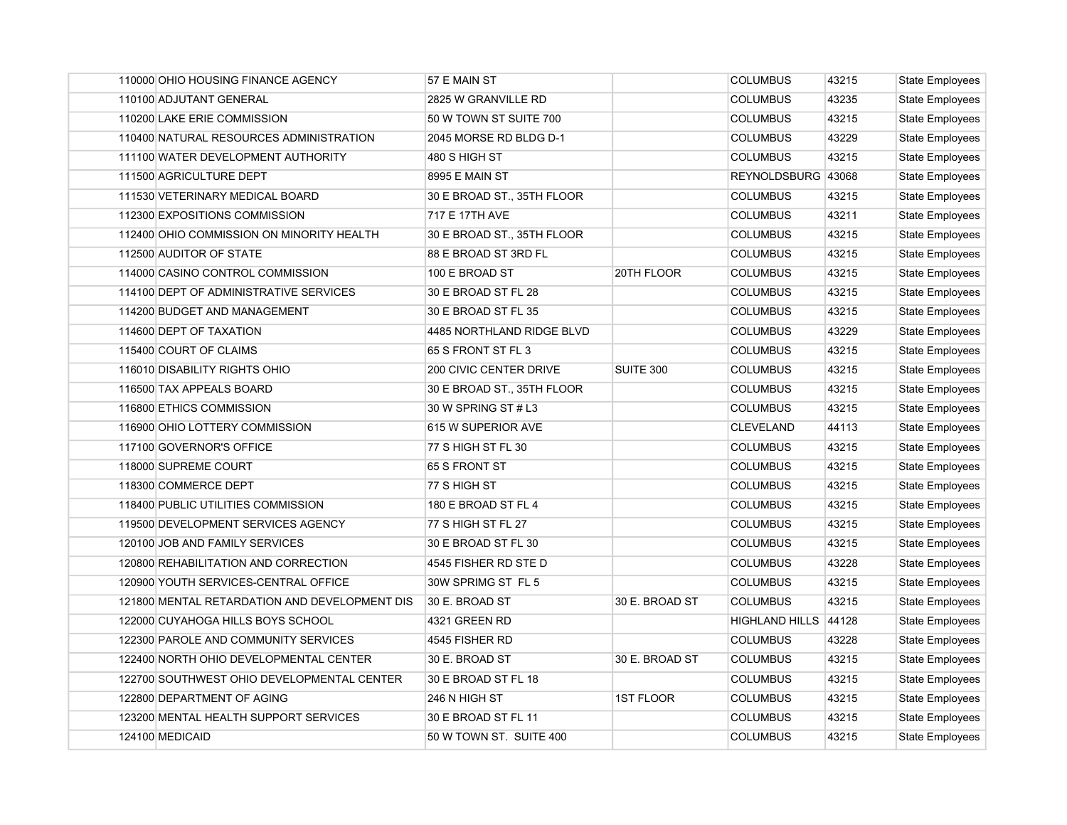| 110000 OHIO HOUSING FINANCE AGENCY            | 57 E MAIN ST               |                  | <b>COLUMBUS</b>      | 43215 | State Employees        |
|-----------------------------------------------|----------------------------|------------------|----------------------|-------|------------------------|
| 110100 ADJUTANT GENERAL                       | 2825 W GRANVILLE RD        |                  | <b>COLUMBUS</b>      | 43235 | State Employees        |
| 110200 LAKE ERIE COMMISSION                   | 50 W TOWN ST SUITE 700     |                  | <b>COLUMBUS</b>      | 43215 | <b>State Employees</b> |
| 110400 NATURAL RESOURCES ADMINISTRATION       | 2045 MORSE RD BLDG D-1     |                  | <b>COLUMBUS</b>      | 43229 | State Employees        |
| 111100 WATER DEVELOPMENT AUTHORITY            | 480 S HIGH ST              |                  | <b>COLUMBUS</b>      | 43215 | <b>State Employees</b> |
| 111500 AGRICULTURE DEPT                       | 8995 E MAIN ST             |                  | REYNOLDSBURG 43068   |       | <b>State Employees</b> |
| 111530 VETERINARY MEDICAL BOARD               | 30 E BROAD ST., 35TH FLOOR |                  | <b>COLUMBUS</b>      | 43215 | <b>State Employees</b> |
| 112300 EXPOSITIONS COMMISSION                 | 717 E 17TH AVE             |                  | <b>COLUMBUS</b>      | 43211 | State Employees        |
| 112400 OHIO COMMISSION ON MINORITY HEALTH     | 30 E BROAD ST., 35TH FLOOR |                  | <b>COLUMBUS</b>      | 43215 | <b>State Employees</b> |
| 112500 AUDITOR OF STATE                       | 88 E BROAD ST 3RD FL       |                  | <b>COLUMBUS</b>      | 43215 | <b>State Employees</b> |
| 114000 CASINO CONTROL COMMISSION              | 100 E BROAD ST             | 20TH FLOOR       | <b>COLUMBUS</b>      | 43215 | <b>State Employees</b> |
| 114100 DEPT OF ADMINISTRATIVE SERVICES        | 30 E BROAD ST FL 28        |                  | <b>COLUMBUS</b>      | 43215 | <b>State Employees</b> |
| 114200 BUDGET AND MANAGEMENT                  | 30 E BROAD ST FL 35        |                  | <b>COLUMBUS</b>      | 43215 | <b>State Employees</b> |
| 114600 DEPT OF TAXATION                       | 4485 NORTHLAND RIDGE BLVD  |                  | <b>COLUMBUS</b>      | 43229 | <b>State Employees</b> |
| 115400 COURT OF CLAIMS                        | 65 S FRONT ST FL 3         |                  | <b>COLUMBUS</b>      | 43215 | <b>State Employees</b> |
| 116010 DISABILITY RIGHTS OHIO                 | 200 CIVIC CENTER DRIVE     | SUITE 300        | COLUMBUS             | 43215 | <b>State Employees</b> |
| 116500 TAX APPEALS BOARD                      | 30 E BROAD ST., 35TH FLOOR |                  | <b>COLUMBUS</b>      | 43215 | <b>State Employees</b> |
| 116800 ETHICS COMMISSION                      | 30 W SPRING ST # L3        |                  | <b>COLUMBUS</b>      | 43215 | <b>State Employees</b> |
| 116900 OHIO LOTTERY COMMISSION                | 615 W SUPERIOR AVE         |                  | <b>CLEVELAND</b>     | 44113 | State Employees        |
| 117100 GOVERNOR'S OFFICE                      | 77 S HIGH ST FL 30         |                  | <b>COLUMBUS</b>      | 43215 | State Employees        |
| 118000 SUPREME COURT                          | 65 S FRONT ST              |                  | <b>COLUMBUS</b>      | 43215 | <b>State Employees</b> |
| 118300 COMMERCE DEPT                          | 77 S HIGH ST               |                  | <b>COLUMBUS</b>      | 43215 | <b>State Employees</b> |
| 118400 PUBLIC UTILITIES COMMISSION            | 180 E BROAD ST FL 4        |                  | <b>COLUMBUS</b>      | 43215 | State Employees        |
| 119500 DEVELOPMENT SERVICES AGENCY            | 77 S HIGH ST FL 27         |                  | <b>COLUMBUS</b>      | 43215 | State Employees        |
| 120100 JOB AND FAMILY SERVICES                | 30 E BROAD ST FL 30        |                  | <b>COLUMBUS</b>      | 43215 | <b>State Employees</b> |
| 120800 REHABILITATION AND CORRECTION          | 4545 FISHER RD STE D       |                  | <b>COLUMBUS</b>      | 43228 | <b>State Employees</b> |
| 120900 YOUTH SERVICES-CENTRAL OFFICE          | 30W SPRIMG ST FL 5         |                  | <b>COLUMBUS</b>      | 43215 | <b>State Employees</b> |
| 121800 MENTAL RETARDATION AND DEVELOPMENT DIS | 30 E. BROAD ST             | 30 E. BROAD ST   | <b>COLUMBUS</b>      | 43215 | <b>State Employees</b> |
| 122000 CUYAHOGA HILLS BOYS SCHOOL             | 4321 GREEN RD              |                  | HIGHLAND HILLS 44128 |       | State Employees        |
| 122300 PAROLE AND COMMUNITY SERVICES          | 4545 FISHER RD             |                  | <b>COLUMBUS</b>      | 43228 | State Employees        |
| 122400 NORTH OHIO DEVELOPMENTAL CENTER        | 30 E. BROAD ST             | 30 E. BROAD ST   | <b>COLUMBUS</b>      | 43215 | <b>State Employees</b> |
| 122700 SOUTHWEST OHIO DEVELOPMENTAL CENTER    | 30 E BROAD ST FL 18        |                  | <b>COLUMBUS</b>      | 43215 | State Employees        |
| 122800 DEPARTMENT OF AGING                    | 246 N HIGH ST              | <b>1ST FLOOR</b> | <b>COLUMBUS</b>      | 43215 | State Employees        |
| 123200 MENTAL HEALTH SUPPORT SERVICES         | 30 E BROAD ST FL 11        |                  | <b>COLUMBUS</b>      | 43215 | <b>State Employees</b> |
| 124100 MEDICAID                               | 50 W TOWN ST. SUITE 400    |                  | <b>COLUMBUS</b>      | 43215 | State Employees        |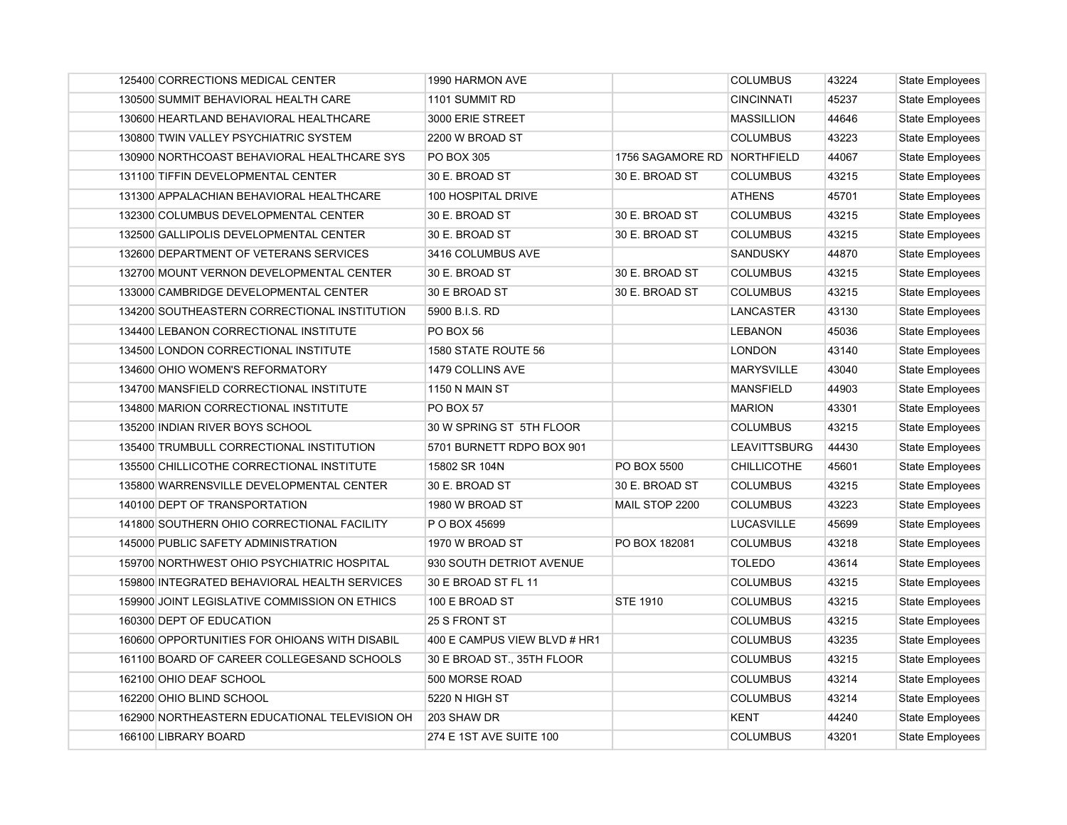| 125400 CORRECTIONS MEDICAL CENTER             | 1990 HARMON AVE              |                             | <b>COLUMBUS</b>     | 43224 | State Employees        |
|-----------------------------------------------|------------------------------|-----------------------------|---------------------|-------|------------------------|
| 130500 SUMMIT BEHAVIORAL HEALTH CARE          | 1101 SUMMIT RD               |                             | <b>CINCINNATI</b>   | 45237 | State Employees        |
| 130600 HEARTLAND BEHAVIORAL HEALTHCARE        | 3000 ERIE STREET             |                             | <b>MASSILLION</b>   | 44646 | <b>State Employees</b> |
| 130800 TWIN VALLEY PSYCHIATRIC SYSTEM         | 2200 W BROAD ST              |                             | <b>COLUMBUS</b>     | 43223 | <b>State Employees</b> |
| 130900 NORTHCOAST BEHAVIORAL HEALTHCARE SYS   | PO BOX 305                   | 1756 SAGAMORE RD NORTHFIELD |                     | 44067 | <b>State Employees</b> |
| 131100 TIFFIN DEVELOPMENTAL CENTER            | 30 E. BROAD ST               | 30 E. BROAD ST              | <b>COLUMBUS</b>     | 43215 | <b>State Employees</b> |
| 131300 APPALACHIAN BEHAVIORAL HEALTHCARE      | 100 HOSPITAL DRIVE           |                             | <b>ATHENS</b>       | 45701 | <b>State Employees</b> |
| 132300 COLUMBUS DEVELOPMENTAL CENTER          | 30 E. BROAD ST               | 30 E. BROAD ST              | <b>COLUMBUS</b>     | 43215 | <b>State Employees</b> |
| 132500 GALLIPOLIS DEVELOPMENTAL CENTER        | 30 E. BROAD ST               | 30 E. BROAD ST              | <b>COLUMBUS</b>     | 43215 | <b>State Employees</b> |
| 132600 DEPARTMENT OF VETERANS SERVICES        | 3416 COLUMBUS AVE            |                             | <b>SANDUSKY</b>     | 44870 | <b>State Employees</b> |
| 132700 MOUNT VERNON DEVELOPMENTAL CENTER      | 30 E. BROAD ST               | 30 E. BROAD ST              | <b>COLUMBUS</b>     | 43215 | <b>State Employees</b> |
| 133000 CAMBRIDGE DEVELOPMENTAL CENTER         | 30 E BROAD ST                | 30 E. BROAD ST              | <b>COLUMBUS</b>     | 43215 | <b>State Employees</b> |
| 134200 SOUTHEASTERN CORRECTIONAL INSTITUTION  | 5900 B.I.S. RD               |                             | LANCASTER           | 43130 | State Employees        |
| 134400 LEBANON CORRECTIONAL INSTITUTE         | PO BOX 56                    |                             | <b>LEBANON</b>      | 45036 | State Employees        |
| 134500 LONDON CORRECTIONAL INSTITUTE          | 1580 STATE ROUTE 56          |                             | <b>LONDON</b>       | 43140 | <b>State Employees</b> |
| 134600 OHIO WOMEN'S REFORMATORY               | 1479 COLLINS AVE             |                             | <b>MARYSVILLE</b>   | 43040 | <b>State Employees</b> |
| 134700 MANSFIELD CORRECTIONAL INSTITUTE       | <b>1150 N MAIN ST</b>        |                             | <b>MANSFIELD</b>    | 44903 | <b>State Employees</b> |
| 134800 MARION CORRECTIONAL INSTITUTE          | <b>PO BOX 57</b>             |                             | <b>MARION</b>       | 43301 | State Employees        |
| 135200 INDIAN RIVER BOYS SCHOOL               | 30 W SPRING ST 5TH FLOOR     |                             | <b>COLUMBUS</b>     | 43215 | State Employees        |
| 135400 TRUMBULL CORRECTIONAL INSTITUTION      | 5701 BURNETT RDPO BOX 901    |                             | <b>LEAVITTSBURG</b> | 44430 | <b>State Employees</b> |
| 135500 CHILLICOTHE CORRECTIONAL INSTITUTE     | 15802 SR 104N                | PO BOX 5500                 | <b>CHILLICOTHE</b>  | 45601 | <b>State Employees</b> |
| 135800 WARRENSVILLE DEVELOPMENTAL CENTER      | 30 E. BROAD ST               | 30 E. BROAD ST              | <b>COLUMBUS</b>     | 43215 | <b>State Employees</b> |
| 140100 DEPT OF TRANSPORTATION                 | 1980 W BROAD ST              | MAIL STOP 2200              | <b>COLUMBUS</b>     | 43223 | <b>State Employees</b> |
| 141800 SOUTHERN OHIO CORRECTIONAL FACILITY    | P O BOX 45699                |                             | <b>LUCASVILLE</b>   | 45699 | State Employees        |
| 145000 PUBLIC SAFETY ADMINISTRATION           | 1970 W BROAD ST              | PO BOX 182081               | <b>COLUMBUS</b>     | 43218 | <b>State Employees</b> |
| 159700 NORTHWEST OHIO PSYCHIATRIC HOSPITAL    | 930 SOUTH DETRIOT AVENUE     |                             | <b>TOLEDO</b>       | 43614 | <b>State Employees</b> |
| 159800 INTEGRATED BEHAVIORAL HEALTH SERVICES  | 30 E BROAD ST FL 11          |                             | <b>COLUMBUS</b>     | 43215 | <b>State Employees</b> |
| 159900 JOINT LEGISLATIVE COMMISSION ON ETHICS | 100 E BROAD ST               | <b>STE 1910</b>             | <b>COLUMBUS</b>     | 43215 | <b>State Employees</b> |
| 160300 DEPT OF EDUCATION                      | 25 S FRONT ST                |                             | <b>COLUMBUS</b>     | 43215 | <b>State Employees</b> |
| 160600 OPPORTUNITIES FOR OHIOANS WITH DISABIL | 400 E CAMPUS VIEW BLVD # HR1 |                             | <b>COLUMBUS</b>     | 43235 | <b>State Employees</b> |
| 161100 BOARD OF CAREER COLLEGESAND SCHOOLS    | 30 E BROAD ST., 35TH FLOOR   |                             | <b>COLUMBUS</b>     | 43215 | <b>State Employees</b> |
| 162100 OHIO DEAF SCHOOL                       | 500 MORSE ROAD               |                             | <b>COLUMBUS</b>     | 43214 | State Employees        |
| 162200 OHIO BLIND SCHOOL                      | 5220 N HIGH ST               |                             | <b>COLUMBUS</b>     | 43214 | State Employees        |
| 162900 NORTHEASTERN EDUCATIONAL TELEVISION OH | 203 SHAW DR                  |                             | <b>KENT</b>         | 44240 | <b>State Employees</b> |
| 166100 LIBRARY BOARD                          | 274 E 1ST AVE SUITE 100      |                             | <b>COLUMBUS</b>     | 43201 | State Employees        |